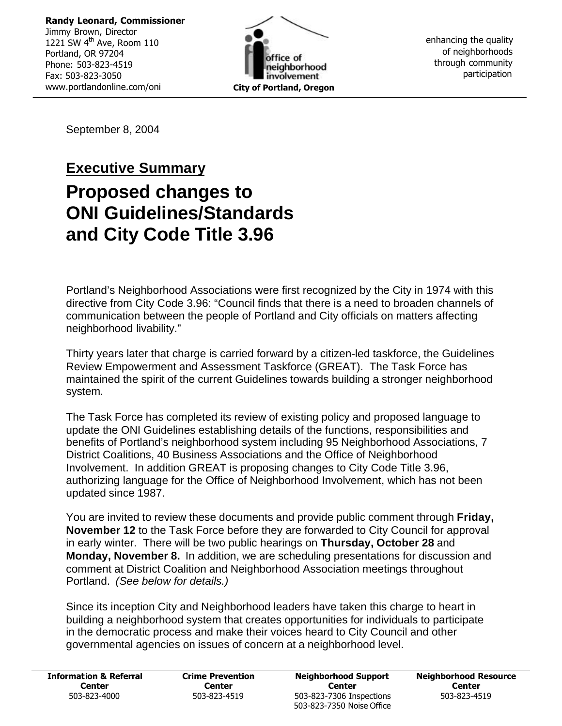**Randy Leonard, Commissioner** Jimmy Brown, Director 1221 SW 4<sup>th</sup> Ave, Room 110 Portland, OR 97204 Phone: 503-823-4519 Fax: 503-823-3050 www.portlandonline.com/oni



enhancing the quality of neighborhoods through community participation

September 8, 2004

# **Executive Summary Proposed changes to ONI Guidelines/Standards and City Code Title 3.96**

Portland's Neighborhood Associations were first recognized by the City in 1974 with this directive from City Code 3.96: "Council finds that there is a need to broaden channels of communication between the people of Portland and City officials on matters affecting neighborhood livability."

Thirty years later that charge is carried forward by a citizen-led taskforce, the Guidelines Review Empowerment and Assessment Taskforce (GREAT). The Task Force has maintained the spirit of the current Guidelines towards building a stronger neighborhood system.

The Task Force has completed its review of existing policy and proposed language to update the ONI Guidelines establishing details of the functions, responsibilities and benefits of Portland's neighborhood system including 95 Neighborhood Associations, 7 District Coalitions, 40 Business Associations and the Office of Neighborhood Involvement. In addition GREAT is proposing changes to City Code Title 3.96, authorizing language for the Office of Neighborhood Involvement, which has not been updated since 1987.

You are invited to review these documents and provide public comment through **Friday, November 12** to the Task Force before they are forwarded to City Council for approval in early winter. There will be two public hearings on **Thursday, October 28** and **Monday, November 8.** In addition, we are scheduling presentations for discussion and comment at District Coalition and Neighborhood Association meetings throughout Portland. *(See below for details.)*

Since its inception City and Neighborhood leaders have taken this charge to heart in building a neighborhood system that creates opportunities for individuals to participate in the democratic process and make their voices heard to City Council and other governmental agencies on issues of concern at a neighborhood level.

| <b>Information &amp; Referral</b> | <b>Crime Prevention</b> | <b>Neighborhood Support</b>                           | <b>Neighborhood Resource</b> |
|-----------------------------------|-------------------------|-------------------------------------------------------|------------------------------|
| Center                            | Center                  | Center                                                | Center                       |
| 503-823-4000                      | 503-823-4519            | 503-823-7306 Inspections<br>503-823-7350 Noise Office | 503-823-4519                 |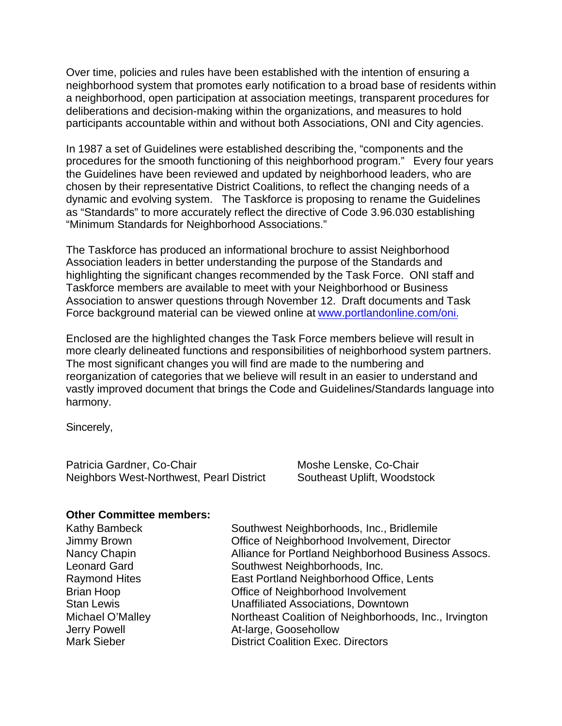Over time, policies and rules have been established with the intention of ensuring a neighborhood system that promotes early notification to a broad base of residents within a neighborhood, open participation at association meetings, transparent procedures for deliberations and decision-making within the organizations, and measures to hold participants accountable within and without both Associations, ONI and City agencies.

In 1987 a set of Guidelines were established describing the, "components and the procedures for the smooth functioning of this neighborhood program." Every four years the Guidelines have been reviewed and updated by neighborhood leaders, who are chosen by their representative District Coalitions, to reflect the changing needs of a dynamic and evolving system. The Taskforce is proposing to rename the Guidelines as "Standards" to more accurately reflect the directive of Code 3.96.030 establishing "Minimum Standards for Neighborhood Associations."

The Taskforce has produced an informational brochure to assist Neighborhood Association leaders in better understanding the purpose of the Standards and highlighting the significant changes recommended by the Task Force. ONI staff and Taskforce members are available to meet with your Neighborhood or Business Association to answer questions through November 12. Draft documents and Task Force background material can be viewed online at www.portlandonline.com/oni.

Enclosed are the highlighted changes the Task Force members believe will result in more clearly delineated functions and responsibilities of neighborhood system partners. The most significant changes you will find are made to the numbering and reorganization of categories that we believe will result in an easier to understand and vastly improved document that brings the Code and Guidelines/Standards language into harmony.

Sincerely,

Patricia Gardner, Co-Chair **Moshe Lenske, Co-Chair** Moshe Lenske, Co-Chair Neighbors West-Northwest, Pearl District Southeast Uplift, Woodstock

#### **Other Committee members:**

| <b>Kathy Bambeck</b> | Southwest Neighborhoods, Inc., Bridlemile             |
|----------------------|-------------------------------------------------------|
| Jimmy Brown          | Office of Neighborhood Involvement, Director          |
| Nancy Chapin         | Alliance for Portland Neighborhood Business Assocs.   |
| <b>Leonard Gard</b>  | Southwest Neighborhoods, Inc.                         |
| <b>Raymond Hites</b> | East Portland Neighborhood Office, Lents              |
| <b>Brian Hoop</b>    | Office of Neighborhood Involvement                    |
| <b>Stan Lewis</b>    | <b>Unaffiliated Associations, Downtown</b>            |
| Michael O'Malley     | Northeast Coalition of Neighborhoods, Inc., Irvington |
| Jerry Powell         | At-large, Goosehollow                                 |
| <b>Mark Sieber</b>   | <b>District Coalition Exec. Directors</b>             |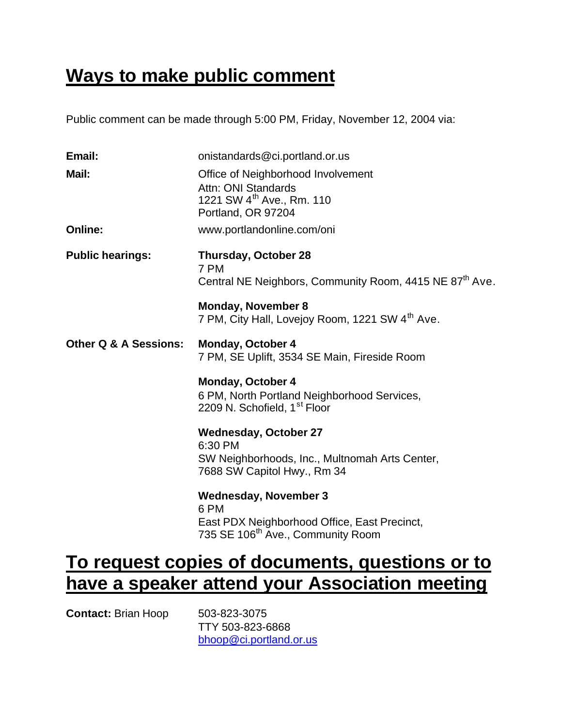# **Ways to make public comment**

Public comment can be made through 5:00 PM, Friday, November 12, 2004 via:

| Email:                           | onistandards@ci.portland.or.us                                                                                                        |
|----------------------------------|---------------------------------------------------------------------------------------------------------------------------------------|
| Mail:                            | Office of Neighborhood Involvement<br>Attn: ONI Standards<br>1221 SW 4 <sup>th</sup> Ave., Rm. 110<br>Portland, OR 97204              |
| <b>Online:</b>                   | www.portlandonline.com/oni                                                                                                            |
| <b>Public hearings:</b>          | Thursday, October 28<br>7 PM<br>Central NE Neighbors, Community Room, 4415 NE 87 <sup>th</sup> Ave.                                   |
|                                  | <b>Monday, November 8</b><br>7 PM, City Hall, Lovejoy Room, 1221 SW 4 <sup>th</sup> Ave.                                              |
| <b>Other Q &amp; A Sessions:</b> | <b>Monday, October 4</b><br>7 PM, SE Uplift, 3534 SE Main, Fireside Room                                                              |
|                                  | <b>Monday, October 4</b><br>6 PM, North Portland Neighborhood Services,<br>2209 N. Schofield, 1 <sup>st</sup> Floor                   |
|                                  | <b>Wednesday, October 27</b><br>6:30 PM<br>SW Neighborhoods, Inc., Multnomah Arts Center,<br>7688 SW Capitol Hwy., Rm 34              |
|                                  | <b>Wednesday, November 3</b><br>6 PM<br>East PDX Neighborhood Office, East Precinct,<br>735 SE 106 <sup>th</sup> Ave., Community Room |

# **To request copies of documents, questions or to have a speaker attend your Association meeting**

**Contact:** Brian Hoop 503-823-3075

TTY 503-823-6868 bhoop@ci.portland.or.us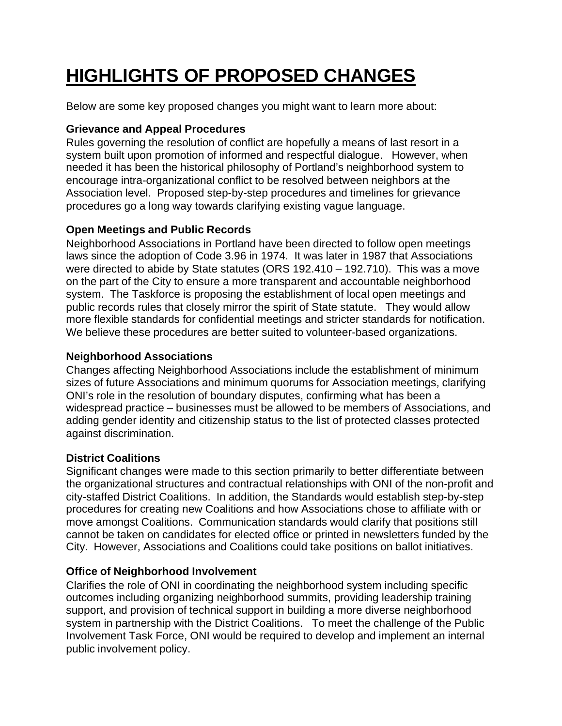# **HIGHLIGHTS OF PROPOSED CHANGES**

Below are some key proposed changes you might want to learn more about:

### **Grievance and Appeal Procedures**

Rules governing the resolution of conflict are hopefully a means of last resort in a system built upon promotion of informed and respectful dialogue. However, when needed it has been the historical philosophy of Portland's neighborhood system to encourage intra-organizational conflict to be resolved between neighbors at the Association level. Proposed step-by-step procedures and timelines for grievance procedures go a long way towards clarifying existing vague language.

### **Open Meetings and Public Records**

Neighborhood Associations in Portland have been directed to follow open meetings laws since the adoption of Code 3.96 in 1974. It was later in 1987 that Associations were directed to abide by State statutes (ORS 192.410 – 192.710). This was a move on the part of the City to ensure a more transparent and accountable neighborhood system. The Taskforce is proposing the establishment of local open meetings and public records rules that closely mirror the spirit of State statute. They would allow more flexible standards for confidential meetings and stricter standards for notification. We believe these procedures are better suited to volunteer-based organizations.

### **Neighborhood Associations**

Changes affecting Neighborhood Associations include the establishment of minimum sizes of future Associations and minimum quorums for Association meetings, clarifying ONI's role in the resolution of boundary disputes, confirming what has been a widespread practice – businesses must be allowed to be members of Associations, and adding gender identity and citizenship status to the list of protected classes protected against discrimination.

## **District Coalitions**

Significant changes were made to this section primarily to better differentiate between the organizational structures and contractual relationships with ONI of the non-profit and city-staffed District Coalitions. In addition, the Standards would establish step-by-step procedures for creating new Coalitions and how Associations chose to affiliate with or move amongst Coalitions. Communication standards would clarify that positions still cannot be taken on candidates for elected office or printed in newsletters funded by the City. However, Associations and Coalitions could take positions on ballot initiatives.

### **Office of Neighborhood Involvement**

Clarifies the role of ONI in coordinating the neighborhood system including specific outcomes including organizing neighborhood summits, providing leadership training support, and provision of technical support in building a more diverse neighborhood system in partnership with the District Coalitions. To meet the challenge of the Public Involvement Task Force, ONI would be required to develop and implement an internal public involvement policy.